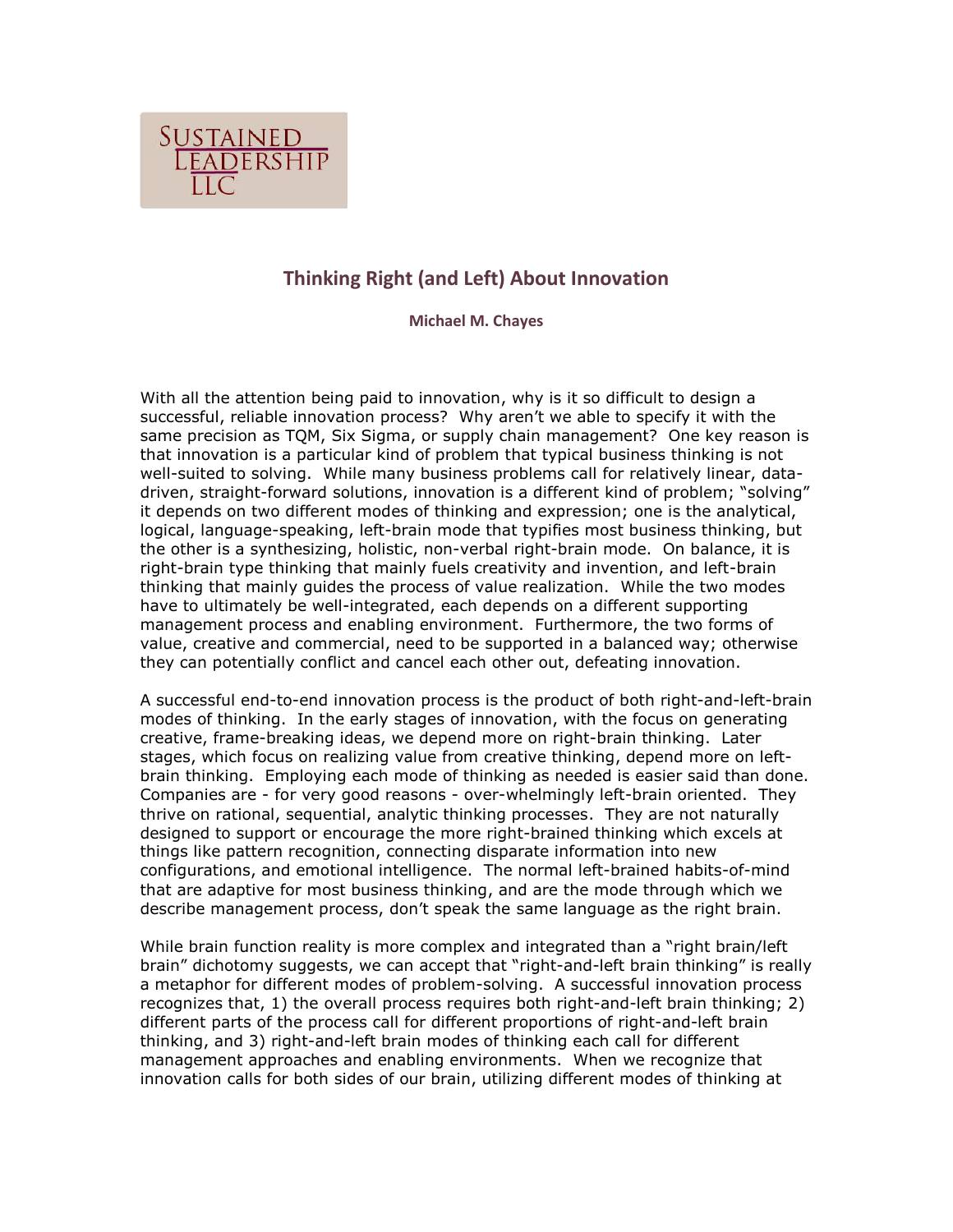

# **Thinking Right (and Left) About Innovation**

**Michael M. Chayes**

With all the attention being paid to innovation, why is it so difficult to design a successful, reliable innovation process? Why aren't we able to specify it with the same precision as TQM, Six Sigma, or supply chain management? One key reason is that innovation is a particular kind of problem that typical business thinking is not well-suited to solving. While many business problems call for relatively linear, datadriven, straight-forward solutions, innovation is a different kind of problem; "solving" it depends on two different modes of thinking and expression; one is the analytical, logical, language-speaking, left-brain mode that typifies most business thinking, but the other is a synthesizing, holistic, non-verbal right-brain mode. On balance, it is right-brain type thinking that mainly fuels creativity and invention, and left-brain thinking that mainly guides the process of value realization. While the two modes have to ultimately be well-integrated, each depends on a different supporting management process and enabling environment. Furthermore, the two forms of value, creative and commercial, need to be supported in a balanced way; otherwise they can potentially conflict and cancel each other out, defeating innovation.

A successful end-to-end innovation process is the product of both right-and-left-brain modes of thinking. In the early stages of innovation, with the focus on generating creative, frame-breaking ideas, we depend more on right-brain thinking. Later stages, which focus on realizing value from creative thinking, depend more on leftbrain thinking. Employing each mode of thinking as needed is easier said than done. Companies are - for very good reasons - over-whelmingly left-brain oriented. They thrive on rational, sequential, analytic thinking processes. They are not naturally designed to support or encourage the more right-brained thinking which excels at things like pattern recognition, connecting disparate information into new configurations, and emotional intelligence. The normal left-brained habits-of-mind that are adaptive for most business thinking, and are the mode through which we describe management process, don't speak the same language as the right brain.

While brain function reality is more complex and integrated than a "right brain/left brain" dichotomy suggests, we can accept that "right-and-left brain thinking" is really a metaphor for different modes of problem-solving. A successful innovation process recognizes that, 1) the overall process requires both right-and-left brain thinking; 2) different parts of the process call for different proportions of right-and-left brain thinking, and 3) right-and-left brain modes of thinking each call for different management approaches and enabling environments. When we recognize that innovation calls for both sides of our brain, utilizing different modes of thinking at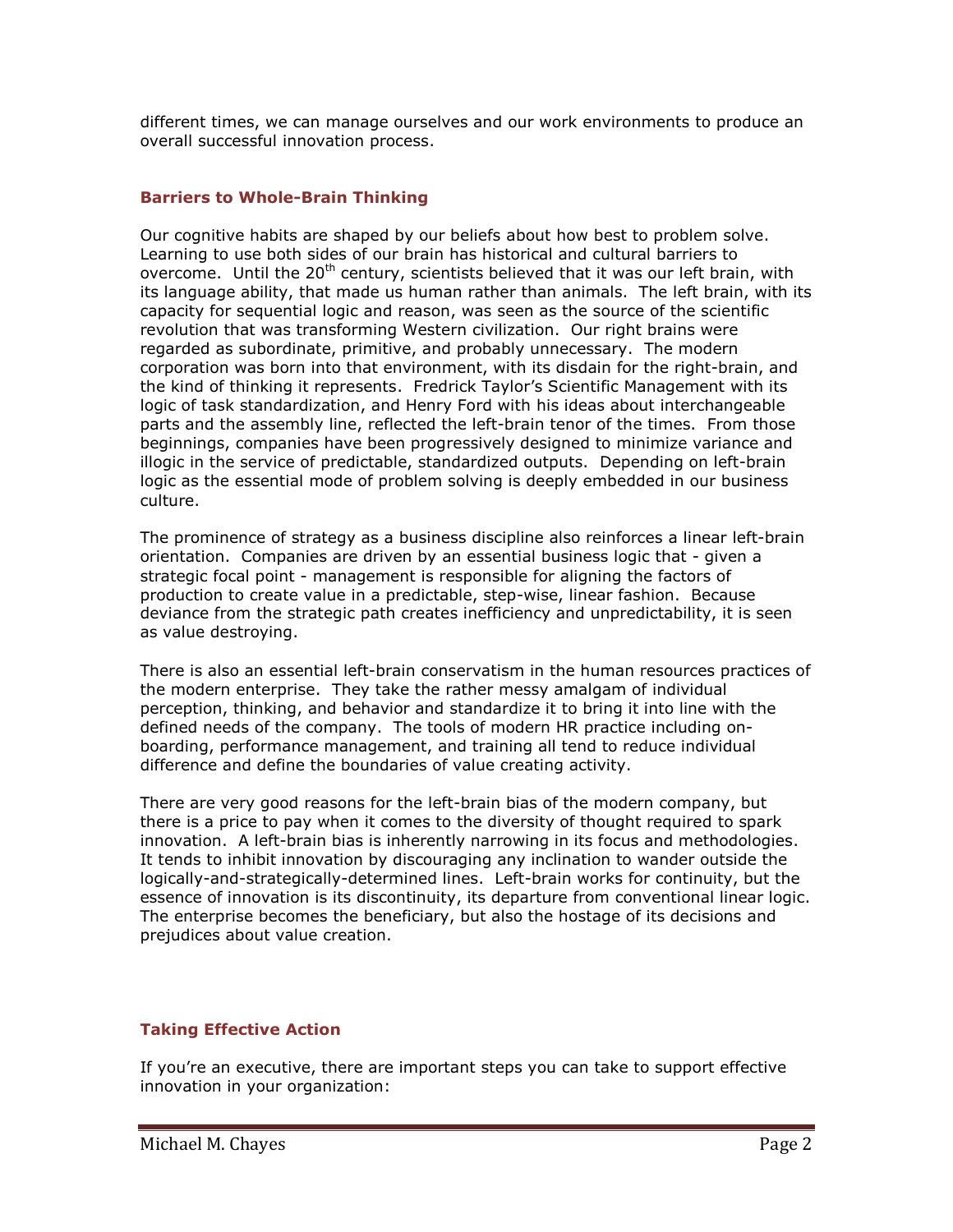different times, we can manage ourselves and our work environments to produce an overall successful innovation process.

### **Barriers to Whole-Brain Thinking**

Our cognitive habits are shaped by our beliefs about how best to problem solve. Learning to use both sides of our brain has historical and cultural barriers to overcome. Until the 20<sup>th</sup> century, scientists believed that it was our left brain, with its language ability, that made us human rather than animals. The left brain, with its capacity for sequential logic and reason, was seen as the source of the scientific revolution that was transforming Western civilization. Our right brains were regarded as subordinate, primitive, and probably unnecessary. The modern corporation was born into that environment, with its disdain for the right-brain, and the kind of thinking it represents. Fredrick Taylor's Scientific Management with its logic of task standardization, and Henry Ford with his ideas about interchangeable parts and the assembly line, reflected the left-brain tenor of the times. From those beginnings, companies have been progressively designed to minimize variance and illogic in the service of predictable, standardized outputs. Depending on left-brain logic as the essential mode of problem solving is deeply embedded in our business culture.

The prominence of strategy as a business discipline also reinforces a linear left-brain orientation. Companies are driven by an essential business logic that - given a strategic focal point - management is responsible for aligning the factors of production to create value in a predictable, step-wise, linear fashion. Because deviance from the strategic path creates inefficiency and unpredictability, it is seen as value destroying.

There is also an essential left-brain conservatism in the human resources practices of the modern enterprise. They take the rather messy amalgam of individual perception, thinking, and behavior and standardize it to bring it into line with the defined needs of the company. The tools of modern HR practice including onboarding, performance management, and training all tend to reduce individual difference and define the boundaries of value creating activity.

There are very good reasons for the left-brain bias of the modern company, but there is a price to pay when it comes to the diversity of thought required to spark innovation. A left-brain bias is inherently narrowing in its focus and methodologies. It tends to inhibit innovation by discouraging any inclination to wander outside the logically-and-strategically-determined lines. Left-brain works for continuity, but the essence of innovation is its discontinuity, its departure from conventional linear logic. The enterprise becomes the beneficiary, but also the hostage of its decisions and prejudices about value creation.

#### **Taking Effective Action**

If you're an executive, there are important steps you can take to support effective innovation in your organization: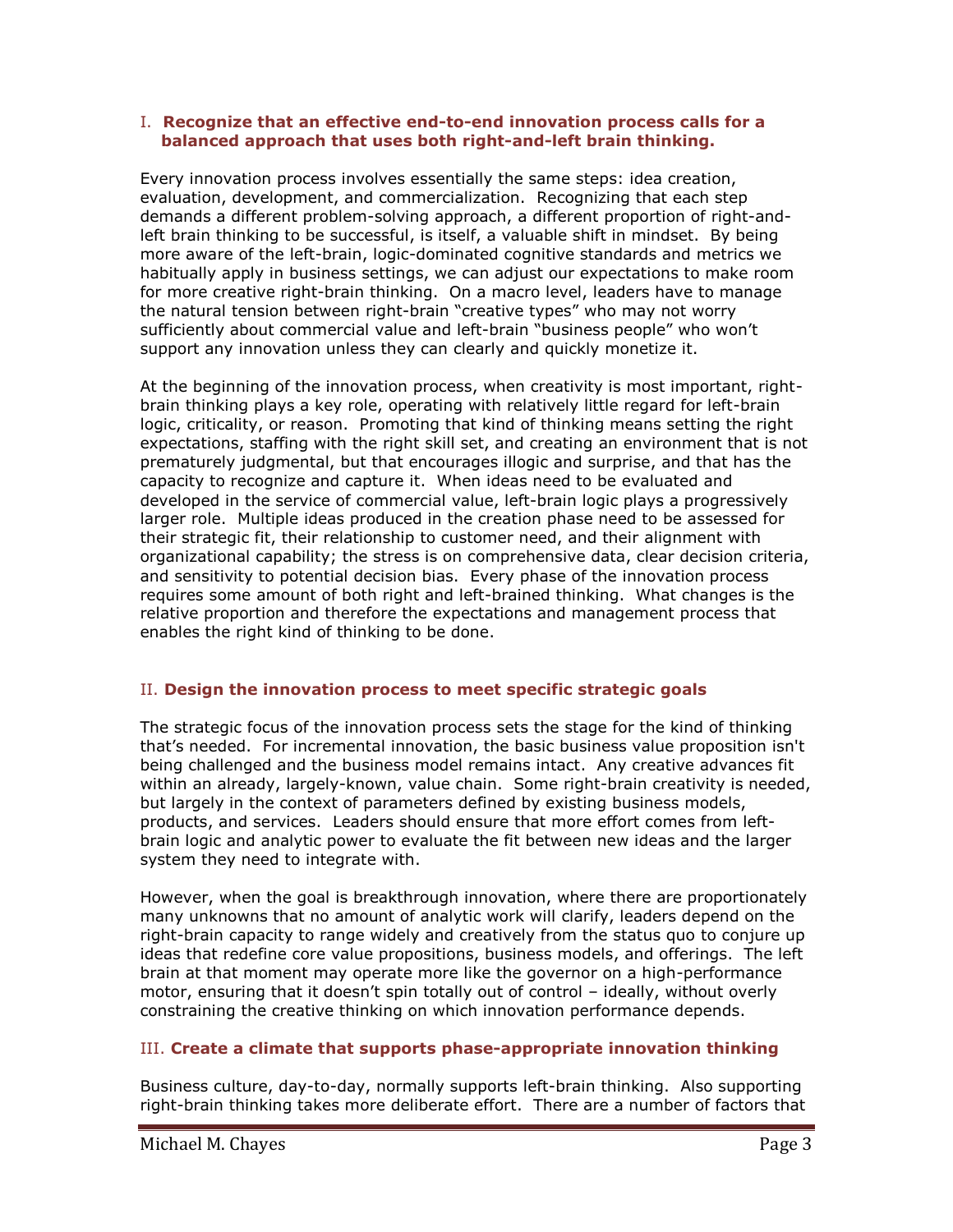#### I. **Recognize that an effective end-to-end innovation process calls for a balanced approach that uses both right-and-left brain thinking.**

Every innovation process involves essentially the same steps: idea creation, evaluation, development, and commercialization. Recognizing that each step demands a different problem-solving approach, a different proportion of right-andleft brain thinking to be successful, is itself, a valuable shift in mindset. By being more aware of the left-brain, logic-dominated cognitive standards and metrics we habitually apply in business settings, we can adjust our expectations to make room for more creative right-brain thinking. On a macro level, leaders have to manage the natural tension between right-brain "creative types" who may not worry sufficiently about commercial value and left-brain "business people" who won't support any innovation unless they can clearly and quickly monetize it.

At the beginning of the innovation process, when creativity is most important, rightbrain thinking plays a key role, operating with relatively little regard for left-brain logic, criticality, or reason. Promoting that kind of thinking means setting the right expectations, staffing with the right skill set, and creating an environment that is not prematurely judgmental, but that encourages illogic and surprise, and that has the capacity to recognize and capture it. When ideas need to be evaluated and developed in the service of commercial value, left-brain logic plays a progressively larger role. Multiple ideas produced in the creation phase need to be assessed for their strategic fit, their relationship to customer need, and their alignment with organizational capability; the stress is on comprehensive data, clear decision criteria, and sensitivity to potential decision bias. Every phase of the innovation process requires some amount of both right and left-brained thinking. What changes is the relative proportion and therefore the expectations and management process that enables the right kind of thinking to be done.

## II. **Design the innovation process to meet specific strategic goals**

The strategic focus of the innovation process sets the stage for the kind of thinking that's needed. For incremental innovation, the basic business value proposition isn't being challenged and the business model remains intact. Any creative advances fit within an already, largely-known, value chain. Some right-brain creativity is needed, but largely in the context of parameters defined by existing business models, products, and services. Leaders should ensure that more effort comes from leftbrain logic and analytic power to evaluate the fit between new ideas and the larger system they need to integrate with.

However, when the goal is breakthrough innovation, where there are proportionately many unknowns that no amount of analytic work will clarify, leaders depend on the right-brain capacity to range widely and creatively from the status quo to conjure up ideas that redefine core value propositions, business models, and offerings. The left brain at that moment may operate more like the governor on a high-performance motor, ensuring that it doesn't spin totally out of control – ideally, without overly constraining the creative thinking on which innovation performance depends.

## III. **Create a climate that supports phase-appropriate innovation thinking**

Business culture, day-to-day, normally supports left-brain thinking. Also supporting right-brain thinking takes more deliberate effort. There are a number of factors that